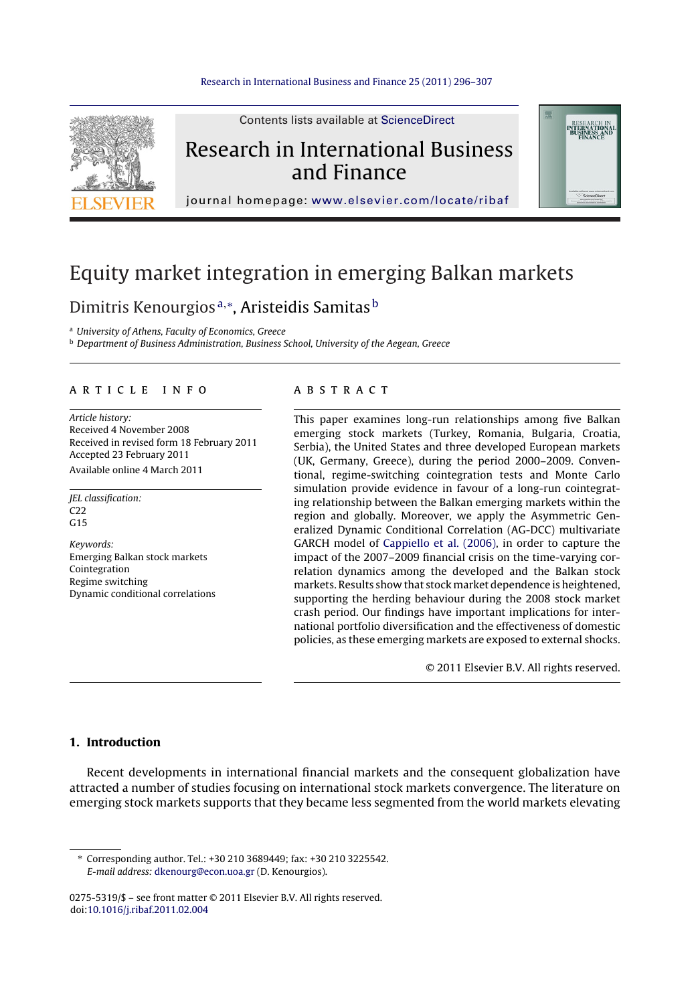

Contents lists available at [ScienceDirect](http://www.sciencedirect.com/science/journal/02755319)

## Research in International Business and Finance



journal homepage: [www.elsevier.com/locate/ribaf](http://www.elsevier.com/locate/ribaf)

## Equity market integration in emerging Balkan markets

### Dimitris Kenourgiosª,\*, Aristeidis Samitas b

<sup>a</sup> University of Athens, Faculty of Economics, Greece

**b** Department of Business Administration, Business School, University of the Aegean, Greece

#### a r t i c l e i n f o

Article history: Received 4 November 2008 Received in revised form 18 February 2011 Accepted 23 February 2011 Available online 4 March 2011

JEL classification:  $C22$ G15

Keywords: Emerging Balkan stock markets Cointegration Regime switching Dynamic conditional correlations

#### A B S T R A C T

This paper examines long-run relationships among five Balkan emerging stock markets (Turkey, Romania, Bulgaria, Croatia, Serbia), the United States and three developed European markets (UK, Germany, Greece), during the period 2000–2009. Conventional, regime-switching cointegration tests and Monte Carlo simulation provide evidence in favour of a long-run cointegrating relationship between the Balkan emerging markets within the region and globally. Moreover, we apply the Asymmetric Generalized Dynamic Conditional Correlation (AG-DCC) multivariate GARCH model of [Cappiello](#page--1-0) et [al.](#page--1-0) [\(2006\),](#page--1-0) in order to capture the impact of the 2007–2009 financial crisis on the time-varying correlation dynamics among the developed and the Balkan stock markets. Results show that stock market dependence is heightened, supporting the herding behaviour during the 2008 stock market crash period. Our findings have important implications for international portfolio diversification and the effectiveness of domestic policies, as these emerging markets are exposed to external shocks.

© 2011 Elsevier B.V. All rights reserved.

#### **1. Introduction**

Recent developments in international financial markets and the consequent globalization have attracted a number of studies focusing on international stock markets convergence. The literature on emerging stock markets supports that they became less segmented from the world markets elevating

∗ Corresponding author. Tel.: +30 210 3689449; fax: +30 210 3225542. E-mail address: [dkenourg@econ.uoa.gr](mailto:dkenourg@econ.uoa.gr) (D. Kenourgios).

<sup>0275-5319/\$</sup> – see front matter © 2011 Elsevier B.V. All rights reserved. doi[:10.1016/j.ribaf.2011.02.004](dx.doi.org/10.1016/j.ribaf.2011.02.004)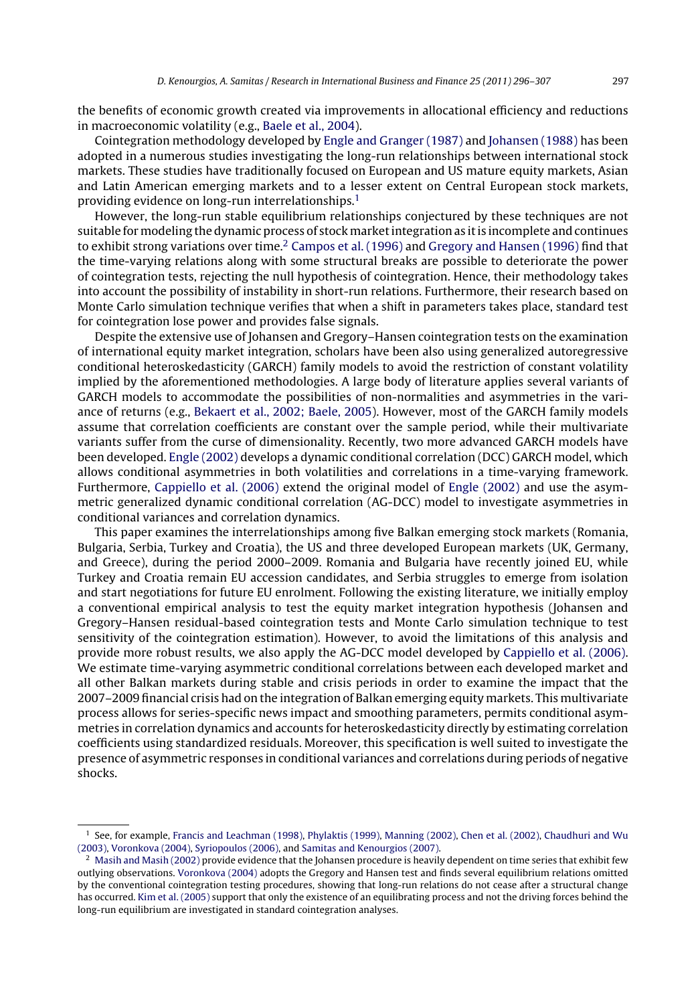the benefits of economic growth created via improvements in allocational efficiency and reductions in macroeconomic volatility (e.g., [Baele](#page--1-0) et [al.,](#page--1-0) [2004\).](#page--1-0)

Cointegration methodology developed by [Engle](#page--1-0) [and](#page--1-0) [Granger](#page--1-0) [\(1987\)](#page--1-0) and [Johansen](#page--1-0) [\(1988\)](#page--1-0) has been adopted in a numerous studies investigating the long-run relationships between international stock markets. These studies have traditionally focused on European and US mature equity markets, Asian and Latin American emerging markets and to a lesser extent on Central European stock markets, providing evidence on long-run interrelationships.<sup>1</sup>

However, the long-run stable equilibrium relationships conjectured by these techniques are not suitable for modeling the dynamic process of stock market integration as it is incomplete and continues to exhibit strong variations over time.<sup>2</sup> [Campos](#page--1-0) et [al.](#page--1-0) [\(1996\)](#page--1-0) and [Gregory](#page--1-0) [and](#page--1-0) [Hansen](#page--1-0) (1996) find that the time-varying relations along with some structural breaks are possible to deteriorate the power of cointegration tests, rejecting the null hypothesis of cointegration. Hence, their methodology takes into account the possibility of instability in short-run relations. Furthermore, their research based on Monte Carlo simulation technique verifies that when a shift in parameters takes place, standard test for cointegration lose power and provides false signals.

Despite the extensive use of Johansen and Gregory–Hansen cointegration tests on the examination of international equity market integration, scholars have been also using generalized autoregressive conditional heteroskedasticity (GARCH) family models to avoid the restriction of constant volatility implied by the aforementioned methodologies. A large body of literature applies several variants of GARCH models to accommodate the possibilities of non-normalities and asymmetries in the variance of returns (e.g., [Bekaert](#page--1-0) et [al.,](#page--1-0) [2002;](#page--1-0) [Baele,](#page--1-0) [2005\).](#page--1-0) However, most of the GARCH family models assume that correlation coefficients are constant over the sample period, while their multivariate variants suffer from the curse of dimensionality. Recently, two more advanced GARCH models have been developed. [Engle](#page--1-0) [\(2002\)](#page--1-0) develops a dynamic conditional correlation (DCC) GARCH model, which allows conditional asymmetries in both volatilities and correlations in a time-varying framework. Furthermore, [Cappiello](#page--1-0) et [al.](#page--1-0) [\(2006\)](#page--1-0) extend the original model of [Engle](#page--1-0) [\(2002\)](#page--1-0) and use the asymmetric generalized dynamic conditional correlation (AG-DCC) model to investigate asymmetries in conditional variances and correlation dynamics.

This paper examines the interrelationships among five Balkan emerging stock markets (Romania, Bulgaria, Serbia, Turkey and Croatia), the US and three developed European markets (UK, Germany, and Greece), during the period 2000–2009. Romania and Bulgaria have recently joined EU, while Turkey and Croatia remain EU accession candidates, and Serbia struggles to emerge from isolation and start negotiations for future EU enrolment. Following the existing literature, we initially employ a conventional empirical analysis to test the equity market integration hypothesis (Johansen and Gregory–Hansen residual-based cointegration tests and Monte Carlo simulation technique to test sensitivity of the cointegration estimation). However, to avoid the limitations of this analysis and provide more robust results, we also apply the AG-DCC model developed by [Cappiello](#page--1-0) et [al.](#page--1-0) [\(2006\).](#page--1-0) We estimate time-varying asymmetric conditional correlations between each developed market and all other Balkan markets during stable and crisis periods in order to examine the impact that the 2007–2009 financial crisis had on the integration of Balkan emerging equity markets. This multivariate process allows for series-specific news impact and smoothing parameters, permits conditional asymmetries in correlation dynamics and accounts for heteroskedasticity directly by estimating correlation coefficients using standardized residuals. Moreover, this specification is well suited to investigate the presence of asymmetric responses in conditional variances and correlations during periods of negative shocks.

<sup>1</sup> See, for example, [Francis](#page--1-0) [and](#page--1-0) [Leachman](#page--1-0) [\(1998\),](#page--1-0) [Phylaktis](#page--1-0) [\(1999\),](#page--1-0) [Manning](#page--1-0) [\(2002\),](#page--1-0) [Chen](#page--1-0) et [al.](#page--1-0) [\(2002\),](#page--1-0) [Chaudhuri](#page--1-0) [and](#page--1-0) [Wu](#page--1-0) [\(2003\),](#page--1-0) [Voronkova](#page--1-0) [\(2004\),](#page--1-0) [Syriopoulos](#page--1-0) [\(2006\),](#page--1-0) and [Samitas](#page--1-0) [and](#page--1-0) [Kenourgios](#page--1-0) [\(2007\).](#page--1-0)

 $<sup>2</sup>$  [Masih](#page--1-0) [and](#page--1-0) Masih [\(2002\)](#page--1-0) provide evidence that the Johansen procedure is heavily dependent on time series that exhibit few</sup> outlying observations. [Voronkova](#page--1-0) [\(2004\)](#page--1-0) adopts the Gregory and Hansen test and finds several equilibrium relations omitted by the conventional cointegration testing procedures, showing that long-run relations do not cease after a structural change has occurred. [Kim](#page--1-0) et [al.](#page--1-0) [\(2005\)](#page--1-0) support that only the existence of an equilibrating process and not the driving forces behind the long-run equilibrium are investigated in standard cointegration analyses.